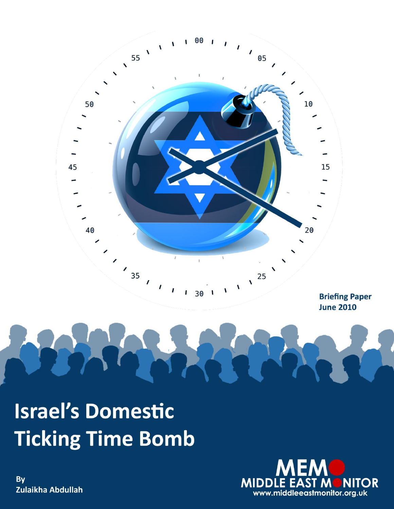

**Israel's Domestic Ticking Time Bomb** 



By Zulaikha Abdullah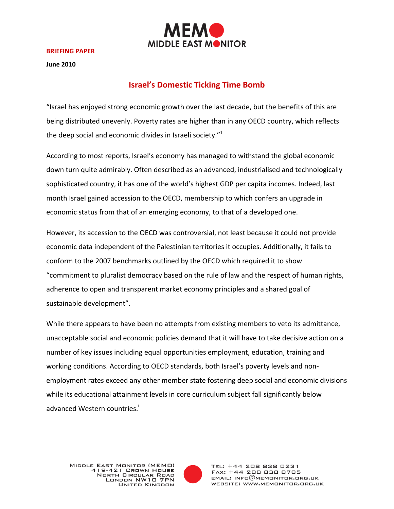

#### **BRIEFING PAPER**

**June 2010**

## **Israel's Domestic Ticking Time Bomb**

"Israel has enjoyed strong economic growth over the last decade, but the benefits of this are being distributed unevenly. Poverty rates are higher than in any OECD country, which reflects the deep social and economic divides in Israeli society."<sup>1</sup>

According to most reports, Israel's economy has managed to withstand the global economic down turn quite admirably. Often described as an advanced, industrialised and technologically sophisticated country, it has one of the world's highest GDP per capita incomes. Indeed, last month Israel gained accession to the OECD, membership to which confers an upgrade in economic status from that of an emerging economy, to that of a developed one.

However, its accession to the OECD was controversial, not least because it could not provide economic data independent of the Palestinian territories it occupies. Additionally, it fails to conform to the 2007 benchmarks outlined by the OECD which required it to show "commitment to pluralist democracy based on the rule of law and the respect of human rights, adherence to open and transparent market economy principles and a shared goal of sustainable development".

While there appears to have been no attempts from existing members to veto its admittance, unacceptable social and economic policies demand that it will have to take decisive action on a number of key issues including equal opportunities employment, education, training and working conditions. According to OECD standards, both Israel's poverty levels and nonemployment rates exceed any other member state fostering deep social and economic divisions while its educational attainment levels in core curriculum subject fall significantly below advanced Western countries.<sup>i</sup>



TEL: +44 208 838 0231 FAX: +44 208 838 0705  $EMAIL: INFO@MEMONITOR.BRS.UK$ WEBSITE: WWW.MEMONITOR.ORG.UK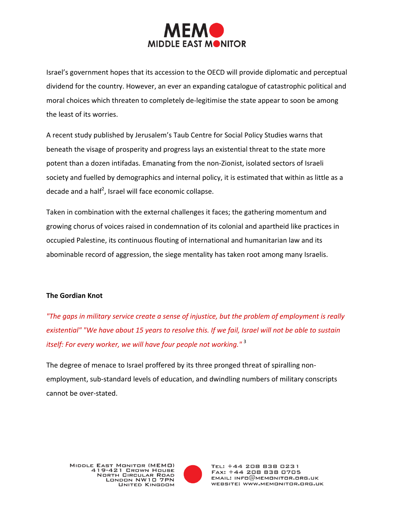

Israel's government hopes that its accession to the OECD will provide diplomatic and perceptual dividend for the country. However, an ever an expanding catalogue of catastrophic political and moral choices which threaten to completely de-legitimise the state appear to soon be among the least of its worries.

A recent study published by Jerusalem's Taub Centre for Social Policy Studies warns that beneath the visage of prosperity and progress lays an existential threat to the state more potent than a dozen intifadas. Emanating from the non-Zionist, isolated sectors of Israeli society and fuelled by demographics and internal policy, it is estimated that within as little as a decade and a half<sup>2</sup>, Israel will face economic collapse.

Taken in combination with the external challenges it faces; the gathering momentum and growing chorus of voices raised in condemnation of its colonial and apartheid like practices in occupied Palestine, its continuous flouting of international and humanitarian law and its abominable record of aggression, the siege mentality has taken root among many Israelis.

### **The Gordian Knot**

*"The gaps in military service create a sense of injustice, but the problem of employment is really existential" "We have about 15 years to resolve this. If we fail, Israel will not be able to sustain itself: For every worker, we will have four people not working.*"<sup>3</sup>

The degree of menace to Israel proffered by its three pronged threat of spiralling nonemployment, sub-standard levels of education, and dwindling numbers of military conscripts cannot be over-stated.

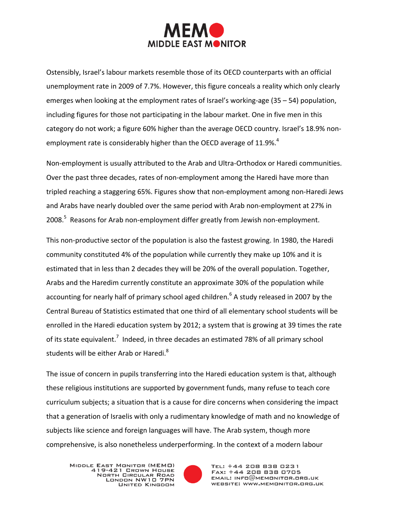

Ostensibly, Israel's labour markets resemble those of its OECD counterparts with an official unemployment rate in 2009 of 7.7%. However, this figure conceals a reality which only clearly emerges when looking at the employment rates of Israel's working-age (35 – 54) population, including figures for those not participating in the labour market. One in five men in this category do not work; a figure 60% higher than the average OECD country. Israel's 18.9% nonemployment rate is considerably higher than the OECD average of  $11.9\%$ .<sup>4</sup>

Non-employment is usually attributed to the Arab and Ultra-Orthodox or Haredi communities. Over the past three decades, rates of non-employment among the Haredi have more than tripled reaching a staggering 65%. Figures show that non-employment among non-Haredi Jews and Arabs have nearly doubled over the same period with Arab non-employment at 27% in 2008.<sup>5</sup> Reasons for Arab non-employment differ greatly from Jewish non-employment.

This non-productive sector of the population is also the fastest growing. In 1980, the Haredi community constituted 4% of the population while currently they make up 10% and it is estimated that in less than 2 decades they will be 20% of the overall population. Together, Arabs and the Haredim currently constitute an approximate 30% of the population while accounting for nearly half of primary school aged children.<sup>6</sup> A study released in 2007 by the Central Bureau of Statistics estimated that one third of all elementary school students will be enrolled in the Haredi education system by 2012; a system that is growing at 39 times the rate of its state equivalent.<sup>7</sup> Indeed, in three decades an estimated 78% of all primary school students will be either Arab or Haredi.<sup>8</sup>

The issue of concern in pupils transferring into the Haredi education system is that, although these religious institutions are supported by government funds, many refuse to teach core curriculum subjects; a situation that is a cause for dire concerns when considering the impact that a generation of Israelis with only a rudimentary knowledge of math and no knowledge of subjects like science and foreign languages will have. The Arab system, though more comprehensive, is also nonetheless underperforming. In the context of a modern labour



TEL: +44 208 838 0231 FAX: +44 208 838 0705  $EMAIL: INFO@MEMONITOR.ORG. UK$ WEBSITE: WWW.MEMONITOR.ORG.UK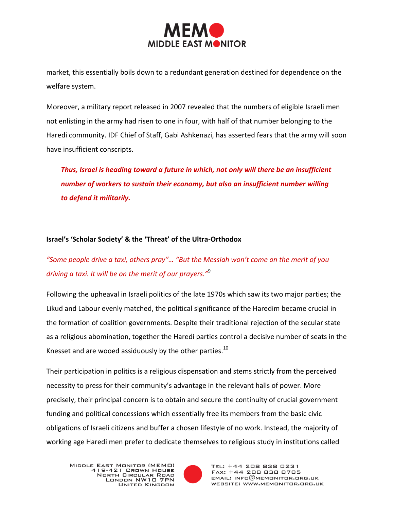

market, this essentially boils down to a redundant generation destined for dependence on the welfare system.

Moreover, a military report released in 2007 revealed that the numbers of eligible Israeli men not enlisting in the army had risen to one in four, with half of that number belonging to the Haredi community. IDF Chief of Staff, Gabi Ashkenazi, has asserted fears that the army will soon have insufficient conscripts.

*Thus, Israel is heading toward a future in which, not only will there be an insufficient number of workers to sustain their economy, but also an insufficient number willing to defend it militarily.*

### **Israel's 'Scholar Society' & the 'Threat' of the Ultra-Orthodox**

# *"Some people drive a taxi, others pray"… "But the Messiah won't come on the merit of you driving a taxi. It will be on the merit of our prayers."*<sup>9</sup>

Following the upheaval in Israeli politics of the late 1970s which saw its two major parties; the Likud and Labour evenly matched, the political significance of the Haredim became crucial in the formation of coalition governments. Despite their traditional rejection of the secular state as a religious abomination, together the Haredi parties control a decisive number of seats in the Knesset and are wooed assiduously by the other parties. $^{10}$ 

Their participation in politics is a religious dispensation and stems strictly from the perceived necessity to press for their community's advantage in the relevant halls of power. More precisely, their principal concern is to obtain and secure the continuity of crucial government funding and political concessions which essentially free its members from the basic civic obligations of Israeli citizens and buffer a chosen lifestyle of no work. Instead, the majority of working age Haredi men prefer to dedicate themselves to religious study in institutions called

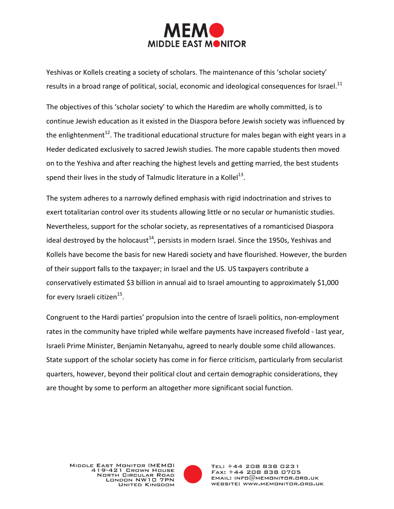

Yeshivas or Kollels creating a society of scholars. The maintenance of this 'scholar society' results in a broad range of political, social, economic and ideological consequences for Israel.<sup>11</sup>

The objectives of this 'scholar society' to which the Haredim are wholly committed, is to continue Jewish education as it existed in the Diaspora before Jewish society was influenced by the enlightenment<sup>12</sup>. The traditional educational structure for males began with eight years in a Heder dedicated exclusively to sacred Jewish studies. The more capable students then moved on to the Yeshiva and after reaching the highest levels and getting married, the best students spend their lives in the study of Talmudic literature in a Kollel<sup>13</sup>.

The system adheres to a narrowly defined emphasis with rigid indoctrination and strives to exert totalitarian control over its students allowing little or no secular or humanistic studies. Nevertheless, support for the scholar society, as representatives of a romanticised Diaspora ideal destroyed by the holocaust<sup>14</sup>, persists in modern Israel. Since the 1950s, Yeshivas and Kollels have become the basis for new Haredi society and have flourished. However, the burden of their support falls to the taxpayer; in Israel and the US. US taxpayers contribute a conservatively estimated \$3 billion in annual aid to Israel amounting to approximately \$1,000 for every Israeli citizen $^{15}$ .

Congruent to the Hardi parties' propulsion into the centre of Israeli politics, non-employment rates in the community have tripled while welfare payments have increased fivefold - last year, Israeli Prime Minister, Benjamin Netanyahu, agreed to nearly double some child allowances. State support of the scholar society has come in for fierce criticism, particularly from secularist quarters, however, beyond their political clout and certain demographic considerations, they are thought by some to perform an altogether more significant social function.

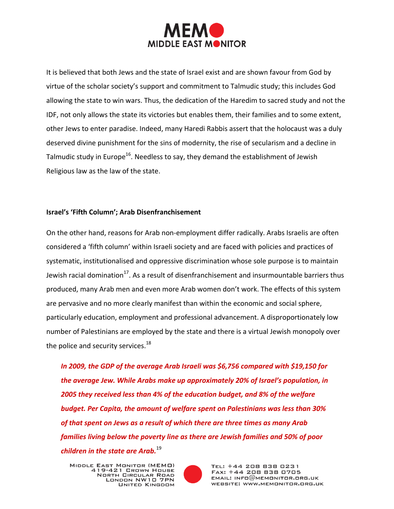

It is believed that both Jews and the state of Israel exist and are shown favour from God by virtue of the scholar society's support and commitment to Talmudic study; this includes God allowing the state to win wars. Thus, the dedication of the Haredim to sacred study and not the IDF, not only allows the state its victories but enables them, their families and to some extent, other Jews to enter paradise. Indeed, many Haredi Rabbis assert that the holocaust was a duly deserved divine punishment for the sins of modernity, the rise of secularism and a decline in Talmudic study in Europe<sup>16</sup>. Needless to say, they demand the establishment of Jewish Religious law as the law of the state.

#### **Israel's 'Fifth Column'; Arab Disenfranchisement**

On the other hand, reasons for Arab non-employment differ radically. Arabs Israelis are often considered a 'fifth column' within Israeli society and are faced with policies and practices of systematic, institutionalised and oppressive discrimination whose sole purpose is to maintain Jewish racial domination<sup>17</sup>. As a result of disenfranchisement and insurmountable barriers thus produced, many Arab men and even more Arab women don't work. The effects of this system are pervasive and no more clearly manifest than within the economic and social sphere, particularly education, employment and professional advancement. A disproportionately low number of Palestinians are employed by the state and there is a virtual Jewish monopoly over the police and security services. $^{18}$ 

*In 2009, the GDP of the average Arab Israeli was \$6,756 compared with \$19,150 for the average Jew. While Arabs make up approximately 20% of Israel's population, in 2005 they received less than 4% of the education budget, and 8% of the welfare budget. Per Capita, the amount of welfare spent on Palestinians was less than 30% of that spent on Jews as a result of which there are three times as many Arab families living below the poverty line as there are Jewish families and 50% of poor children in the state are Arab.*<sup>19</sup>

MIDDLE EAST MONITOR (MEMO) 419-421 GROWN HOUSE **NORTH CIRCULAR ROAD** LONDON NW10 7PN **UNITED KINGDOM** 



TEL: +44 208 838 0231 FAX: +44 208 838 0705  $EMAIL: INFO@MEMONITOR.ORG. UK$ WEBSITE: WWW.MEMONITOR.ORG.UK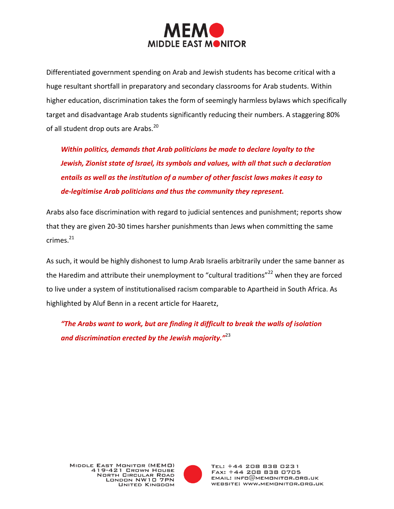

Differentiated government spending on Arab and Jewish students has become critical with a huge resultant shortfall in preparatory and secondary classrooms for Arab students. Within higher education, discrimination takes the form of seemingly harmless bylaws which specifically target and disadvantage Arab students significantly reducing their numbers. A staggering 80% of all student drop outs are Arabs.<sup>20</sup>

*Within politics, demands that Arab politicians be made to declare loyalty to the Jewish, Zionist state of Israel, its symbols and values, with all that such a declaration entails as well as the institution of a number of other fascist laws makes it easy to de-legitimise Arab politicians and thus the community they represent.*

Arabs also face discrimination with regard to judicial sentences and punishment; reports show that they are given 20-30 times harsher punishments than Jews when committing the same crimes.<sup>21</sup>

As such, it would be highly dishonest to lump Arab Israelis arbitrarily under the same banner as the Haredim and attribute their unemployment to "cultural traditions"<sup>22</sup> when they are forced to live under a system of institutionalised racism comparable to Apartheid in South Africa. As highlighted by Aluf Benn in a recent article for Haaretz,

*"The Arabs want to work, but are finding it difficult to break the walls of isolation and discrimination erected by the Jewish majority."*<sup>23</sup>

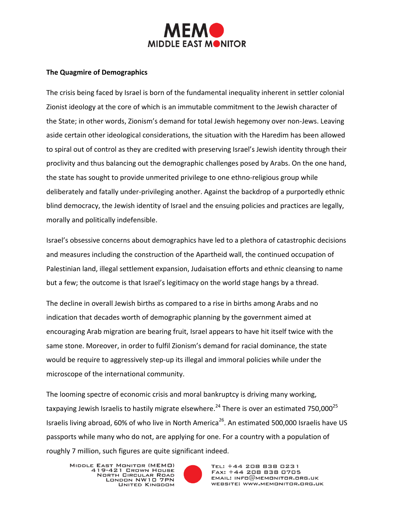

#### **The Quagmire of Demographics**

The crisis being faced by Israel is born of the fundamental inequality inherent in settler colonial Zionist ideology at the core of which is an immutable commitment to the Jewish character of the State; in other words, Zionism's demand for total Jewish hegemony over non-Jews. Leaving aside certain other ideological considerations, the situation with the Haredim has been allowed to spiral out of control as they are credited with preserving Israel's Jewish identity through their proclivity and thus balancing out the demographic challenges posed by Arabs. On the one hand, the state has sought to provide unmerited privilege to one ethno-religious group while deliberately and fatally under-privileging another. Against the backdrop of a purportedly ethnic blind democracy, the Jewish identity of Israel and the ensuing policies and practices are legally, morally and politically indefensible.

Israel's obsessive concerns about demographics have led to a plethora of catastrophic decisions and measures including the construction of the Apartheid wall, the continued occupation of Palestinian land, illegal settlement expansion, Judaisation efforts and ethnic cleansing to name but a few; the outcome is that Israel's legitimacy on the world stage hangs by a thread.

The decline in overall Jewish births as compared to a rise in births among Arabs and no indication that decades worth of demographic planning by the government aimed at encouraging Arab migration are bearing fruit, Israel appears to have hit itself twice with the same stone. Moreover, in order to fulfil Zionism's demand for racial dominance, the state would be require to aggressively step-up its illegal and immoral policies while under the microscope of the international community.

The looming spectre of economic crisis and moral bankruptcy is driving many working, taxpaying Jewish Israelis to hastily migrate elsewhere.<sup>24</sup> There is over an estimated 750,000<sup>25</sup> Israelis living abroad, 60% of who live in North America<sup>26</sup>. An estimated 500,000 Israelis have US passports while many who do not, are applying for one. For a country with a population of roughly 7 million, such figures are quite significant indeed.

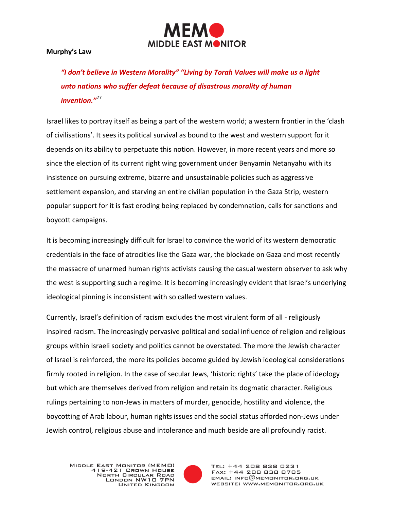

**Murphy's Law**

*"I don't believe in Western Morality" "Living by Torah Values will make us a light unto nations who suffer defeat because of disastrous morality of human invention."*<sup>27</sup>

Israel likes to portray itself as being a part of the western world; a western frontier in the 'clash of civilisations'. It sees its political survival as bound to the west and western support for it depends on its ability to perpetuate this notion. However, in more recent years and more so since the election of its current right wing government under Benyamin Netanyahu with its insistence on pursuing extreme, bizarre and unsustainable policies such as aggressive settlement expansion, and starving an entire civilian population in the Gaza Strip, western popular support for it is fast eroding being replaced by condemnation, calls for sanctions and boycott campaigns.

It is becoming increasingly difficult for Israel to convince the world of its western democratic credentials in the face of atrocities like the Gaza war, the blockade on Gaza and most recently the massacre of unarmed human rights activists causing the casual western observer to ask why the west is supporting such a regime. It is becoming increasingly evident that Israel's underlying ideological pinning is inconsistent with so called western values.

Currently, Israel's definition of racism excludes the most virulent form of all - religiously inspired racism. The increasingly pervasive political and social influence of religion and religious groups within Israeli society and politics cannot be overstated. The more the Jewish character of Israel is reinforced, the more its policies become guided by Jewish ideological considerations firmly rooted in religion. In the case of secular Jews, 'historic rights' take the place of ideology but which are themselves derived from religion and retain its dogmatic character. Religious rulings pertaining to non-Jews in matters of murder, genocide, hostility and violence, the boycotting of Arab labour, human rights issues and the social status afforded non-Jews under Jewish control, religious abuse and intolerance and much beside are all profoundly racist.

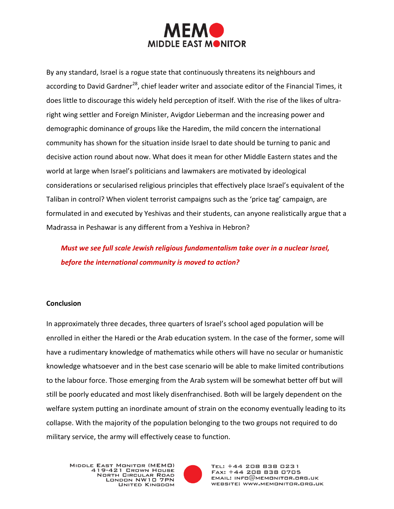

By any standard, Israel is a rogue state that continuously threatens its neighbours and according to David Gardner<sup>28</sup>, chief leader writer and associate editor of the Financial Times, it does little to discourage this widely held perception of itself. With the rise of the likes of ultraright wing settler and Foreign Minister, Avigdor Lieberman and the increasing power and demographic dominance of groups like the Haredim, the mild concern the international community has shown for the situation inside Israel to date should be turning to panic and decisive action round about now. What does it mean for other Middle Eastern states and the world at large when Israel's politicians and lawmakers are motivated by ideological considerations or secularised religious principles that effectively place Israel's equivalent of the Taliban in control? When violent terrorist campaigns such as the 'price tag' campaign, are formulated in and executed by Yeshivas and their students, can anyone realistically argue that a Madrassa in Peshawar is any different from a Yeshiva in Hebron?

*Must we see full scale Jewish religious fundamentalism take over in a nuclear Israel, before the international community is moved to action?*

#### **Conclusion**

In approximately three decades, three quarters of Israel's school aged population will be enrolled in either the Haredi or the Arab education system. In the case of the former, some will have a rudimentary knowledge of mathematics while others will have no secular or humanistic knowledge whatsoever and in the best case scenario will be able to make limited contributions to the labour force. Those emerging from the Arab system will be somewhat better off but will still be poorly educated and most likely disenfranchised. Both will be largely dependent on the welfare system putting an inordinate amount of strain on the economy eventually leading to its collapse. With the majority of the population belonging to the two groups not required to do military service, the army will effectively cease to function.

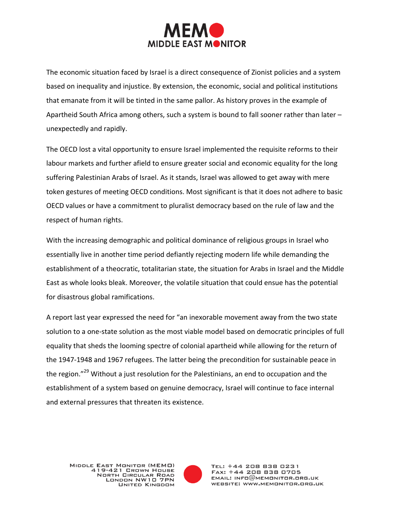

The economic situation faced by Israel is a direct consequence of Zionist policies and a system based on inequality and injustice. By extension, the economic, social and political institutions that emanate from it will be tinted in the same pallor. As history proves in the example of Apartheid South Africa among others, such a system is bound to fall sooner rather than later – unexpectedly and rapidly.

The OECD lost a vital opportunity to ensure Israel implemented the requisite reforms to their labour markets and further afield to ensure greater social and economic equality for the long suffering Palestinian Arabs of Israel. As it stands, Israel was allowed to get away with mere token gestures of meeting OECD conditions. Most significant is that it does not adhere to basic OECD values or have a commitment to pluralist democracy based on the rule of law and the respect of human rights.

With the increasing demographic and political dominance of religious groups in Israel who essentially live in another time period defiantly rejecting modern life while demanding the establishment of a theocratic, totalitarian state, the situation for Arabs in Israel and the Middle East as whole looks bleak. Moreover, the volatile situation that could ensue has the potential for disastrous global ramifications.

A report last year expressed the need for "an inexorable movement away from the two state solution to a one-state solution as the most viable model based on democratic principles of full equality that sheds the looming spectre of colonial apartheid while allowing for the return of the 1947-1948 and 1967 refugees. The latter being the precondition for sustainable peace in the region."<sup>29</sup> Without a just resolution for the Palestinians, an end to occupation and the establishment of a system based on genuine democracy, Israel will continue to face internal and external pressures that threaten its existence.